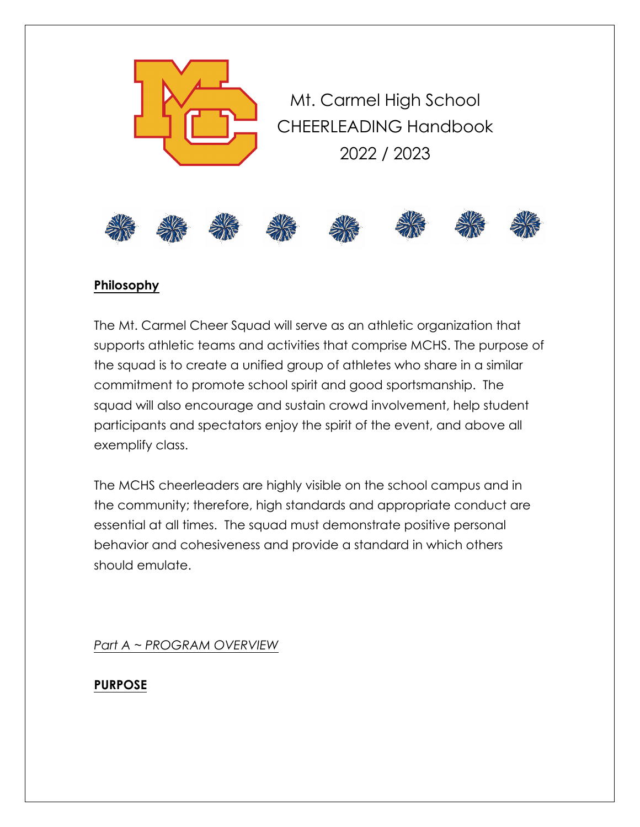

## **Philosophy**

The Mt. Carmel Cheer Squad will serve as an athletic organization that supports athletic teams and activities that comprise MCHS. The purpose of the squad is to create a unified group of athletes who share in a similar commitment to promote school spirit and good sportsmanship. The squad will also encourage and sustain crowd involvement, help student participants and spectators enjoy the spirit of the event, and above all exemplify class.

The MCHS cheerleaders are highly visible on the school campus and in the community; therefore, high standards and appropriate conduct are essential at all times. The squad must demonstrate positive personal behavior and cohesiveness and provide a standard in which others should emulate.

*Part A ~ PROGRAM OVERVIEW*

**PURPOSE**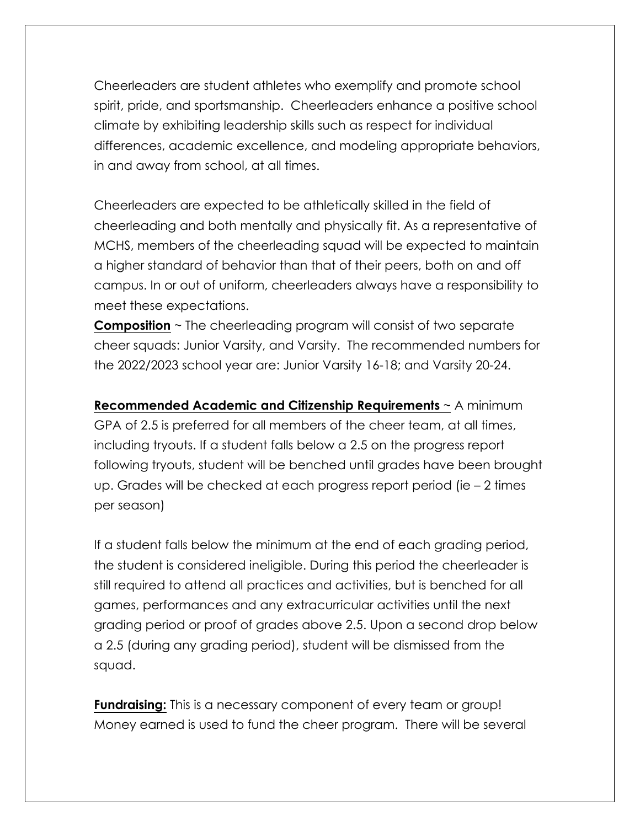Cheerleaders are student athletes who exemplify and promote school spirit, pride, and sportsmanship. Cheerleaders enhance a positive school climate by exhibiting leadership skills such as respect for individual differences, academic excellence, and modeling appropriate behaviors, in and away from school, at all times.

Cheerleaders are expected to be athletically skilled in the field of cheerleading and both mentally and physically fit. As a representative of MCHS, members of the cheerleading squad will be expected to maintain a higher standard of behavior than that of their peers, both on and off campus. In or out of uniform, cheerleaders always have a responsibility to meet these expectations.

**Composition** ~ The cheerleading program will consist of two separate cheer squads: Junior Varsity, and Varsity. The recommended numbers for the 2022/2023 school year are: Junior Varsity 16-18; and Varsity 20-24.

**Recommended Academic and Citizenship Requirements** ~ A minimum GPA of 2.5 is preferred for all members of the cheer team, at all times, including tryouts. If a student falls below a 2.5 on the progress report following tryouts, student will be benched until grades have been brought up. Grades will be checked at each progress report period (ie – 2 times per season)

If a student falls below the minimum at the end of each grading period, the student is considered ineligible. During this period the cheerleader is still required to attend all practices and activities, but is benched for all games, performances and any extracurricular activities until the next grading period or proof of grades above 2.5. Upon a second drop below a 2.5 (during any grading period), student will be dismissed from the squad.

**Fundraising:** This is a necessary component of every team or group! Money earned is used to fund the cheer program. There will be several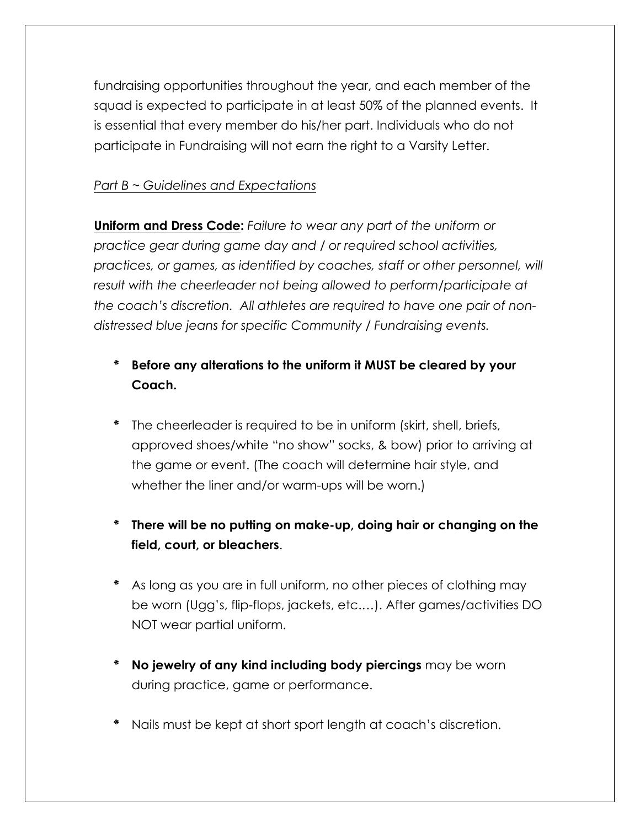fundraising opportunities throughout the year, and each member of the squad is expected to participate in at least 50% of the planned events. It is essential that every member do his/her part. Individuals who do not participate in Fundraising will not earn the right to a Varsity Letter.

# *Part B ~ Guidelines and Expectations*

**Uniform and Dress Code:** *Failure to wear any part of the uniform or practice gear during game day and / or required school activities, practices, or games, as identified by coaches, staff or other personnel, will result with the cheerleader not being allowed to perform/participate at the coach's discretion. All athletes are required to have one pair of nondistressed blue jeans for specific Community / Fundraising events.*

- \* **Before any alterations to the uniform it MUST be cleared by your Coach.**
- The cheerleader is required to be in uniform (skirt, shell, briefs, approved shoes/white "no show" socks, & bow) prior to arriving at the game or event. (The coach will determine hair style, and whether the liner and/or warm-ups will be worn.)
- \* **There will be no putting on make-up, doing hair or changing on the field, court, or bleachers**.
- \* As long as you are in full uniform, no other pieces of clothing may be worn (Ugg's, flip-flops, jackets, etc.…). After games/activities DO NOT wear partial uniform.
- \* **No jewelry of any kind including body piercings** may be worn during practice, game or performance.
- Nails must be kept at short sport length at coach's discretion.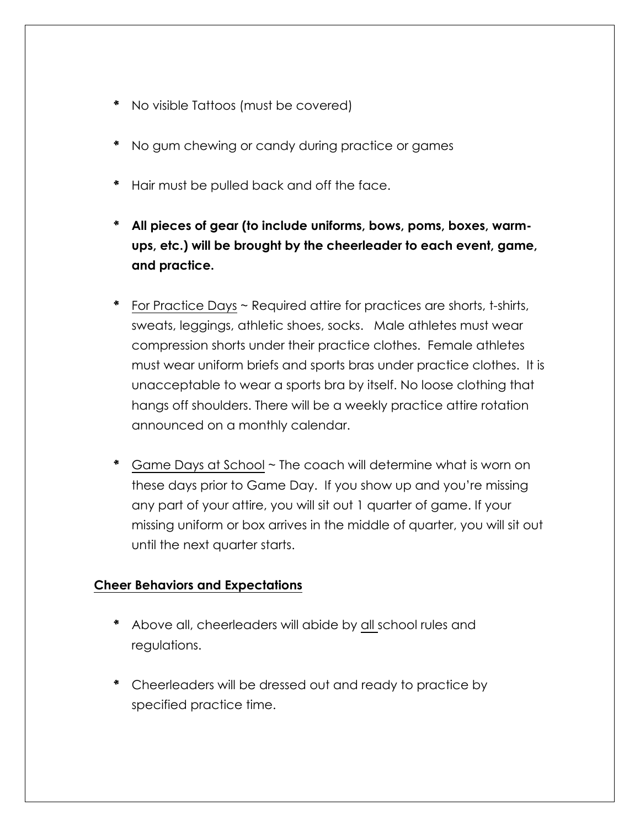- \* No visible Tattoos (must be covered)
- \* No gum chewing or candy during practice or games
- \* Hair must be pulled back and off the face.
- \* **All pieces of gear (to include uniforms, bows, poms, boxes, warmups, etc.) will be brought by the cheerleader to each event, game, and practice.**
- \* For Practice Days ~ Required attire for practices are shorts, t-shirts, sweats, leggings, athletic shoes, socks. Male athletes must wear compression shorts under their practice clothes. Female athletes must wear uniform briefs and sports bras under practice clothes. It is unacceptable to wear a sports bra by itself. No loose clothing that hangs off shoulders. There will be a weekly practice attire rotation announced on a monthly calendar.
- \* Game Days at School ~ The coach will determine what is worn on these days prior to Game Day. If you show up and you're missing any part of your attire, you will sit out 1 quarter of game. If your missing uniform or box arrives in the middle of quarter, you will sit out until the next quarter starts.

## **Cheer Behaviors and Expectations**

- \* Above all, cheerleaders will abide by all school rules and regulations.
- \* Cheerleaders will be dressed out and ready to practice by specified practice time.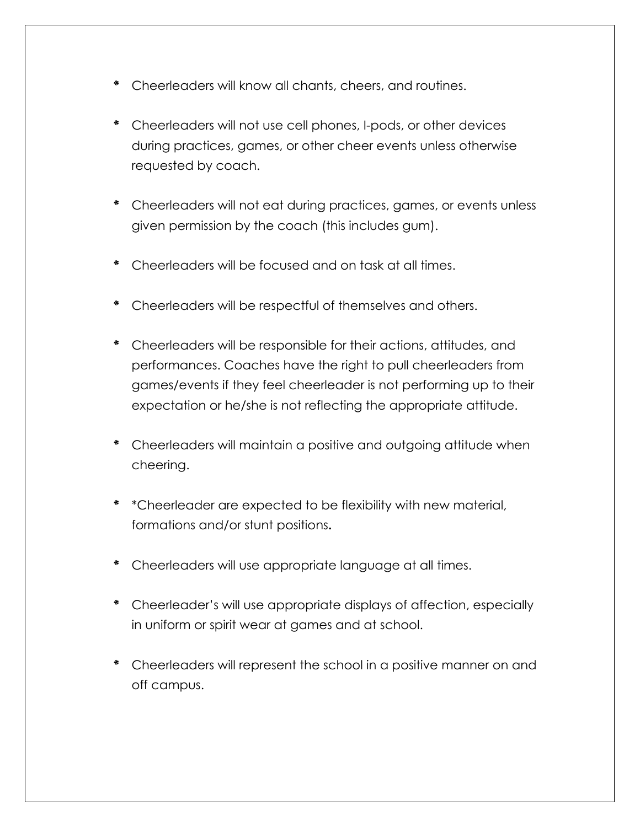- \* Cheerleaders will know all chants, cheers, and routines.
- \* Cheerleaders will not use cell phones, I-pods, or other devices during practices, games, or other cheer events unless otherwise requested by coach.
- \* Cheerleaders will not eat during practices, games, or events unless given permission by the coach (this includes gum).
- \* Cheerleaders will be focused and on task at all times.
- \* Cheerleaders will be respectful of themselves and others.
- \* Cheerleaders will be responsible for their actions, attitudes, and performances. Coaches have the right to pull cheerleaders from games/events if they feel cheerleader is not performing up to their expectation or he/she is not reflecting the appropriate attitude.
- \* Cheerleaders will maintain a positive and outgoing attitude when cheering.
- \* \*Cheerleader are expected to be flexibility with new material, formations and/or stunt positions**.**
- \* Cheerleaders will use appropriate language at all times.
- \* Cheerleader's will use appropriate displays of affection, especially in uniform or spirit wear at games and at school.
- \* Cheerleaders will represent the school in a positive manner on and off campus.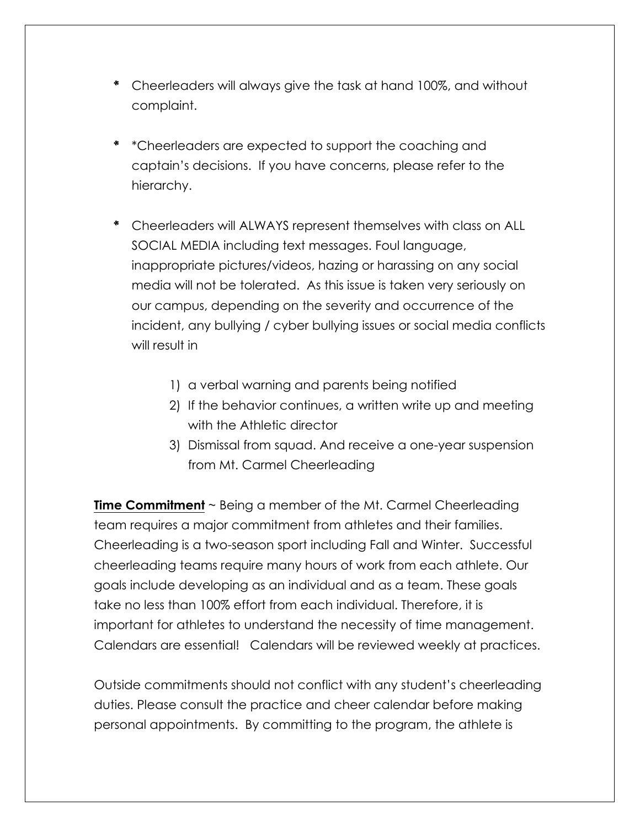- \* Cheerleaders will always give the task at hand 100%, and without complaint.
- \* \*Cheerleaders are expected to support the coaching and captain's decisions. If you have concerns, please refer to the hierarchy.
- \* Cheerleaders will ALWAYS represent themselves with class on ALL SOCIAL MEDIA including text messages. Foul language, inappropriate pictures/videos, hazing or harassing on any social media will not be tolerated. As this issue is taken very seriously on our campus, depending on the severity and occurrence of the incident, any bullying / cyber bullying issues or social media conflicts will result in
	- 1) a verbal warning and parents being notified
	- 2) If the behavior continues, a written write up and meeting with the Athletic director
	- 3) Dismissal from squad. And receive a one-year suspension from Mt. Carmel Cheerleading

**Time Commitment** ~ Being a member of the Mt. Carmel Cheerleading team requires a major commitment from athletes and their families. Cheerleading is a two-season sport including Fall and Winter. Successful cheerleading teams require many hours of work from each athlete. Our goals include developing as an individual and as a team. These goals take no less than 100% effort from each individual. Therefore, it is important for athletes to understand the necessity of time management. Calendars are essential! Calendars will be reviewed weekly at practices.

Outside commitments should not conflict with any student's cheerleading duties. Please consult the practice and cheer calendar before making personal appointments. By committing to the program, the athlete is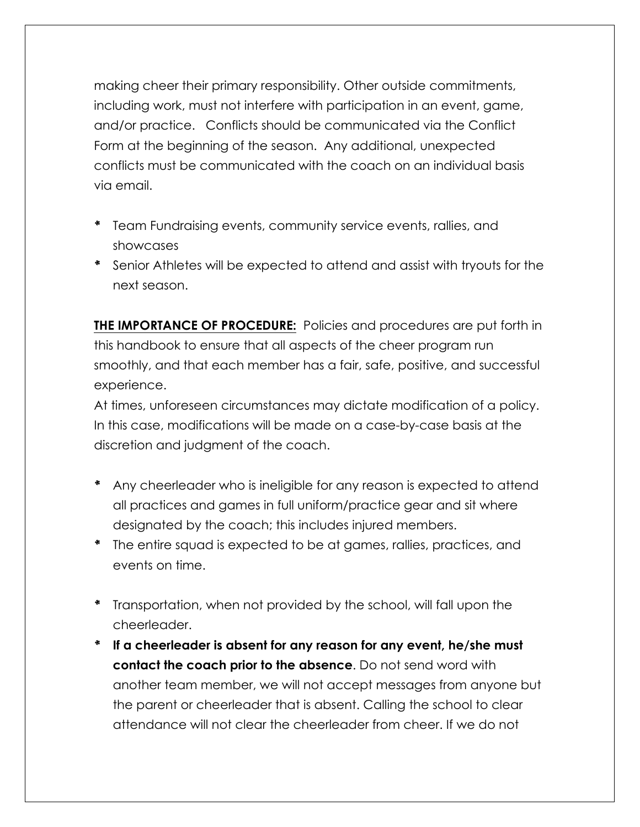making cheer their primary responsibility. Other outside commitments, including work, must not interfere with participation in an event, game, and/or practice. Conflicts should be communicated via the Conflict Form at the beginning of the season. Any additional, unexpected conflicts must be communicated with the coach on an individual basis via email.

- \* Team Fundraising events, community service events, rallies, and showcases
- \* Senior Athletes will be expected to attend and assist with tryouts for the next season.

**THE IMPORTANCE OF PROCEDURE:** Policies and procedures are put forth in this handbook to ensure that all aspects of the cheer program run smoothly, and that each member has a fair, safe, positive, and successful experience.

At times, unforeseen circumstances may dictate modification of a policy. In this case, modifications will be made on a case-by-case basis at the discretion and judgment of the coach.

- \* Any cheerleader who is ineligible for any reason is expected to attend all practices and games in full uniform/practice gear and sit where designated by the coach; this includes injured members.
- \* The entire squad is expected to be at games, rallies, practices, and events on time.
- \* Transportation, when not provided by the school, will fall upon the cheerleader.
- \* **If a cheerleader is absent for any reason for any event, he/she must contact the coach prior to the absence**. Do not send word with another team member, we will not accept messages from anyone but the parent or cheerleader that is absent. Calling the school to clear attendance will not clear the cheerleader from cheer. If we do not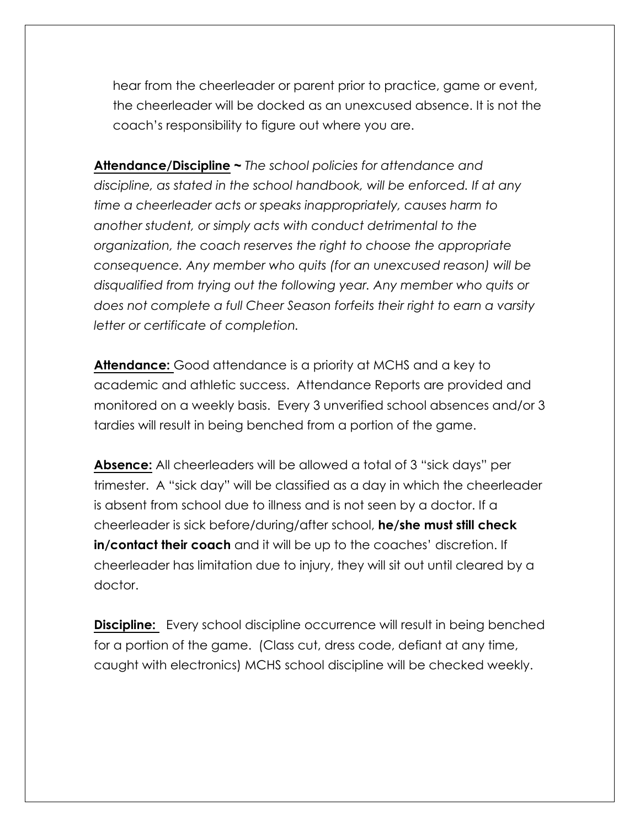hear from the cheerleader or parent prior to practice, game or event, the cheerleader will be docked as an unexcused absence. It is not the coach's responsibility to figure out where you are.

**Attendance/Discipline ~** *The school policies for attendance and discipline, as stated in the school handbook, will be enforced. If at any time a cheerleader acts or speaks inappropriately, causes harm to another student, or simply acts with conduct detrimental to the organization, the coach reserves the right to choose the appropriate consequence. Any member who quits (for an unexcused reason) will be disqualified from trying out the following year. Any member who quits or does not complete a full Cheer Season forfeits their right to earn a varsity letter or certificate of completion.*

**Attendance:** Good attendance is a priority at MCHS and a key to academic and athletic success. Attendance Reports are provided and monitored on a weekly basis. Every 3 unverified school absences and/or 3 tardies will result in being benched from a portion of the game.

**Absence:** All cheerleaders will be allowed a total of 3 "sick days" per trimester. A "sick day" will be classified as a day in which the cheerleader is absent from school due to illness and is not seen by a doctor. If a cheerleader is sick before/during/after school, **he/she must still check in/contact their coach** and it will be up to the coaches' discretion. If cheerleader has limitation due to injury, they will sit out until cleared by a doctor.

**Discipline:** Every school discipline occurrence will result in being benched for a portion of the game. (Class cut, dress code, defiant at any time, caught with electronics) MCHS school discipline will be checked weekly.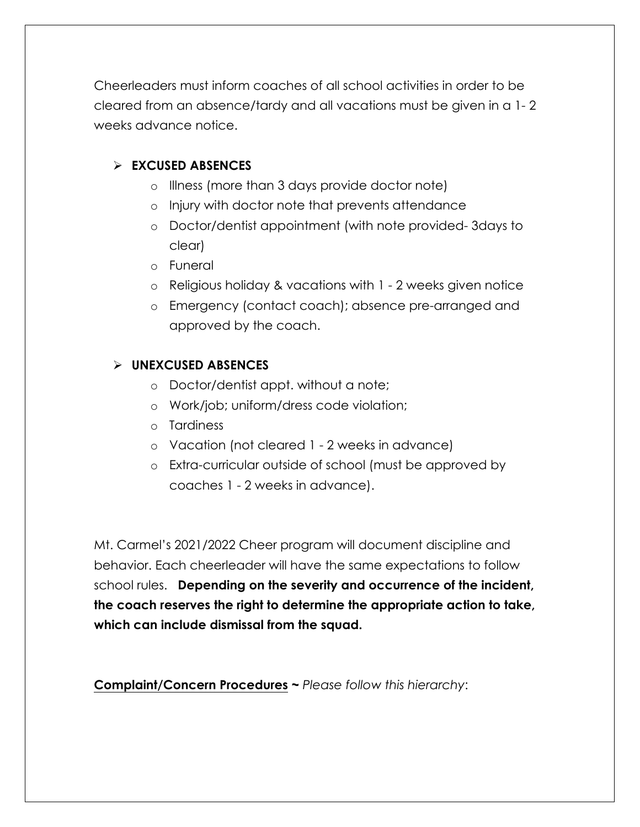Cheerleaders must inform coaches of all school activities in order to be cleared from an absence/tardy and all vacations must be given in a 1- 2 weeks advance notice.

#### Ø **EXCUSED ABSENCES**

- o Illness (more than 3 days provide doctor note)
- o Injury with doctor note that prevents attendance
- o Doctor/dentist appointment (with note provided- 3days to clear)
- o Funeral
- o Religious holiday & vacations with 1 2 weeks given notice
- o Emergency (contact coach); absence pre-arranged and approved by the coach.

#### Ø **UNEXCUSED ABSENCES**

- o Doctor/dentist appt. without a note;
- o Work/job; uniform/dress code violation;
- o Tardiness
- o Vacation (not cleared 1 2 weeks in advance)
- o Extra-curricular outside of school (must be approved by coaches 1 - 2 weeks in advance).

Mt. Carmel's 2021/2022 Cheer program will document discipline and behavior. Each cheerleader will have the same expectations to follow school rules. **Depending on the severity and occurrence of the incident, the coach reserves the right to determine the appropriate action to take, which can include dismissal from the squad.**

**Complaint/Concern Procedures ~** *Please follow this hierarchy*: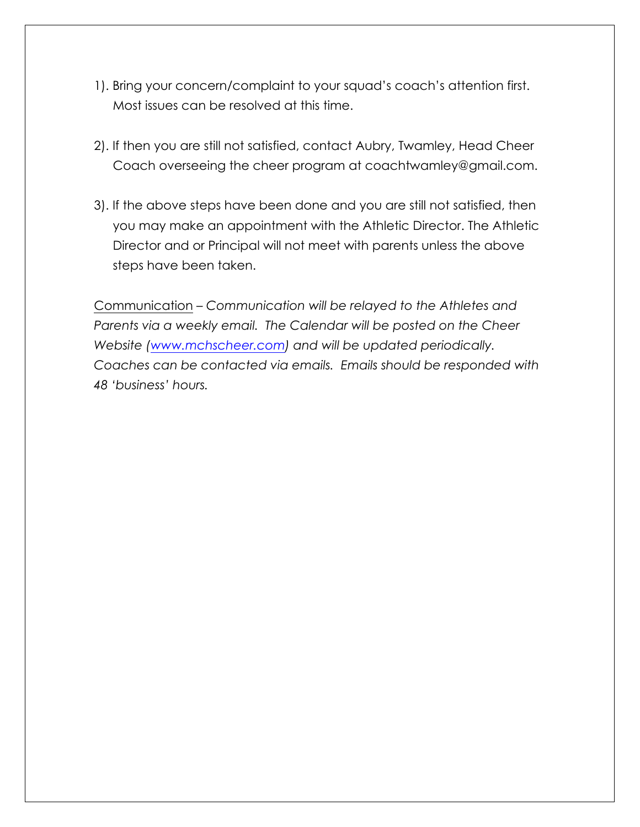- 1). Bring your concern/complaint to your squad's coach's attention first. Most issues can be resolved at this time.
- 2). If then you are still not satisfied, contact Aubry, Twamley, Head Cheer Coach overseeing the cheer program at coachtwamley@gmail.com.
- 3). If the above steps have been done and you are still not satisfied, then you may make an appointment with the Athletic Director. The Athletic Director and or Principal will not meet with parents unless the above steps have been taken.

Communication – *Communication will be relayed to the Athletes and Parents via a weekly email. The Calendar will be posted on the Cheer Website (www.mchscheer.com) and will be updated periodically. Coaches can be contacted via emails. Emails should be responded with 48 'business' hours.*